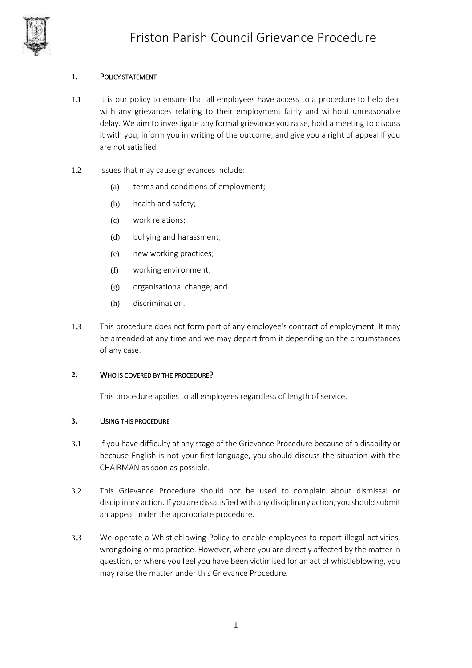

# **1.** POLICY STATEMENT

- 1.1 It is our policy to ensure that all employees have access to a procedure to help deal with any grievances relating to their employment fairly and without unreasonable delay. We aim to investigate any formal grievance you raise, hold a meeting to discuss it with you, inform you in writing of the outcome, and give you a right of appeal if you are not satisfied.
- 1.2 Issues that may cause grievances include:
	- (a) terms and conditions of employment;
	- (b) health and safety;
	- (c) work relations;
	- (d) bullying and harassment;
	- (e) new working practices;
	- (f) working environment;
	- (g) organisational change; and
	- (h) discrimination.
- 1.3 This procedure does not form part of any employee's contract of employment. It may be amended at any time and we may depart from it depending on the circumstances of any case.

#### **2.** WHO IS COVERED BY THE PROCEDURE?

This procedure applies to all employees regardless of length of service.

#### **3.** USING THIS PROCEDURE

- 3.1 If you have difficulty at any stage of the Grievance Procedure because of a disability or because English is not your first language, you should discuss the situation with the CHAIRMAN as soon as possible.
- 3.2 This Grievance Procedure should not be used to complain about dismissal or disciplinary action. If you are dissatisfied with any disciplinary action, you should submit an appeal under the appropriate procedure.
- 3.3 We operate a Whistleblowing Policy to enable employees to report illegal activities, wrongdoing or malpractice. However, where you are directly affected by the matter in question, or where you feel you have been victimised for an act of whistleblowing, you may raise the matter under this Grievance Procedure.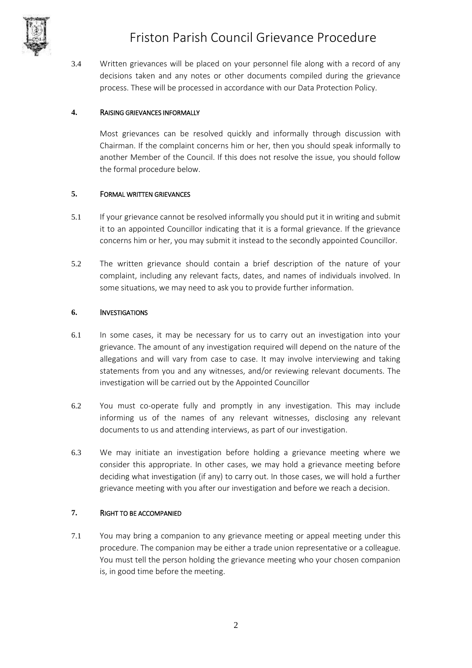

3.4 Written grievances will be placed on your personnel file along with a record of any decisions taken and any notes or other documents compiled during the grievance process. These will be processed in accordance with our Data Protection Policy.

## **4.** RAISING GRIEVANCES INFORMALLY

Most grievances can be resolved quickly and informally through discussion with Chairman. If the complaint concerns him or her, then you should speak informally to another Member of the Council. If this does not resolve the issue, you should follow the formal procedure below.

## **5.** FORMAL WRITTEN GRIEVANCES

- 5.1 If your grievance cannot be resolved informally you should put it in writing and submit it to an appointed Councillor indicating that it is a formal grievance. If the grievance concerns him or her, you may submit it instead to the secondly appointed Councillor.
- 5.2 The written grievance should contain a brief description of the nature of your complaint, including any relevant facts, dates, and names of individuals involved. In some situations, we may need to ask you to provide further information.

## **6.** INVESTIGATIONS

- 6.1 In some cases, it may be necessary for us to carry out an investigation into your grievance. The amount of any investigation required will depend on the nature of the allegations and will vary from case to case. It may involve interviewing and taking statements from you and any witnesses, and/or reviewing relevant documents. The investigation will be carried out by the Appointed Councillor
- 6.2 You must co-operate fully and promptly in any investigation. This may include informing us of the names of any relevant witnesses, disclosing any relevant documents to us and attending interviews, as part of our investigation.
- 6.3 We may initiate an investigation before holding a grievance meeting where we consider this appropriate. In other cases, we may hold a grievance meeting before deciding what investigation (if any) to carry out. In those cases, we will hold a further grievance meeting with you after our investigation and before we reach a decision.

#### <span id="page-1-0"></span>**7.** RIGHT TO BE ACCOMPANIED

7.1 You may bring a companion to any grievance meeting or appeal meeting under this procedure. The companion may be either a trade union representative or a colleague. You must tell the person holding the grievance meeting who your chosen companion is, in good time before the meeting.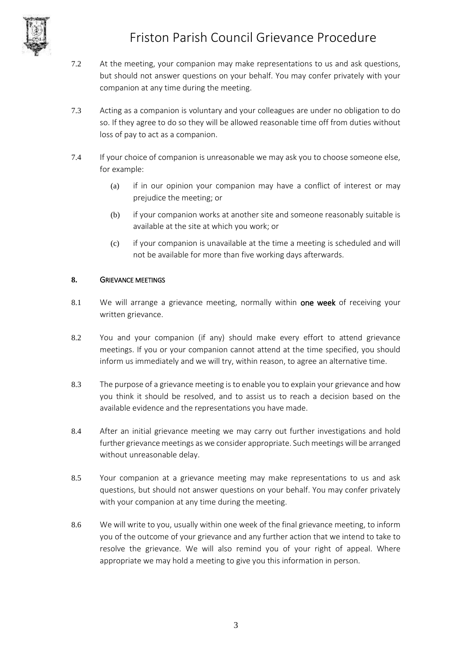

# Friston Parish Council Grievance Procedure

- 7.2 At the meeting, your companion may make representations to us and ask questions, but should not answer questions on your behalf. You may confer privately with your companion at any time during the meeting.
- 7.3 Acting as a companion is voluntary and your colleagues are under no obligation to do so. If they agree to do so they will be allowed reasonable time off from duties without loss of pay to act as a companion.
- 7.4 If your choice of companion is unreasonable we may ask you to choose someone else, for example:
	- (a) if in our opinion your companion may have a conflict of interest or may prejudice the meeting; or
	- (b) if your companion works at another site and someone reasonably suitable is available at the site at which you work; or
	- (c) if your companion is unavailable at the time a meeting is scheduled and will not be available for more than five working days afterwards.

## **8.** GRIEVANCE MEETINGS

- 8.1 We will arrange a grievance meeting, normally within one week of receiving your written grievance.
- 8.2 You and your companion (if any) should make every effort to attend grievance meetings. If you or your companion cannot attend at the time specified, you should inform us immediately and we will try, within reason, to agree an alternative time.
- 8.3 The purpose of a grievance meeting is to enable you to explain your grievance and how you think it should be resolved, and to assist us to reach a decision based on the available evidence and the representations you have made.
- 8.4 After an initial grievance meeting we may carry out further investigations and hold further grievance meetings as we consider appropriate. Such meetings will be arranged without unreasonable delay.
- 8.5 Your companion at a grievance meeting may make representations to us and ask questions, but should not answer questions on your behalf. You may confer privately with your companion at any time during the meeting.
- 8.6 We will write to you, usually within one week of the final grievance meeting, to inform you of the outcome of your grievance and any further action that we intend to take to resolve the grievance. We will also remind you of your right of appeal. Where appropriate we may hold a meeting to give you this information in person.